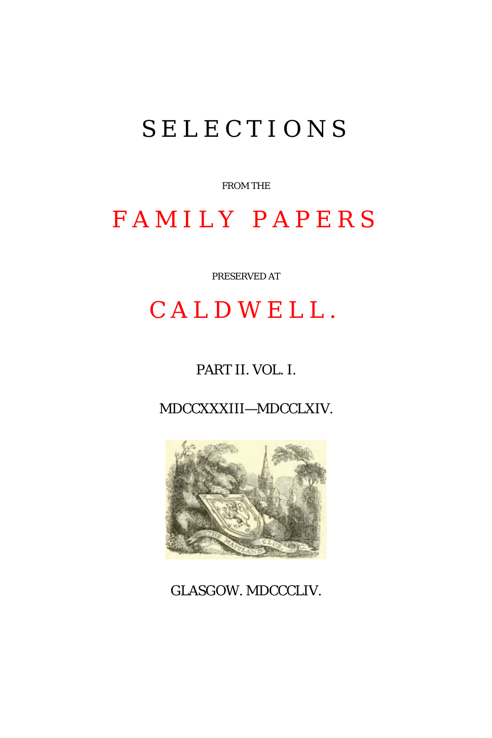# SELECTIONS

FROM THE

# FAMILY PAPERS

PRESERVED AT

# CALDWELL.

## PART II. VOL. I.

MDCCXXXIII—MDCCLXIV.



GLASGOW. MDCCCLIV.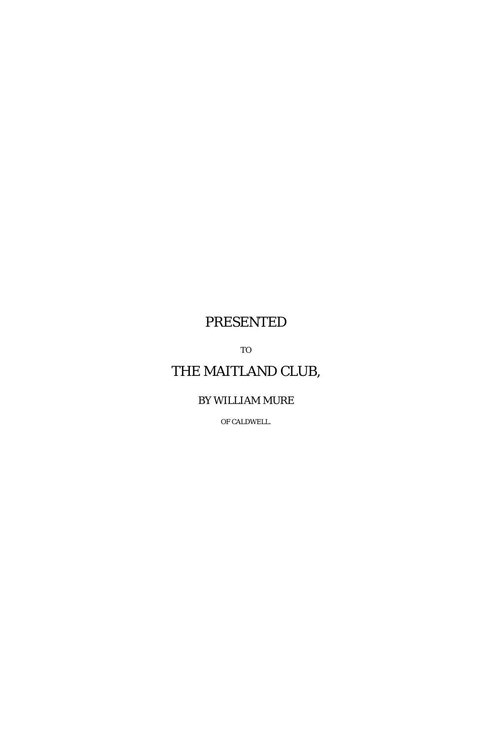## PRESENTED

TO

## THE MAITLAND CLUB,

## BY WILLIAM MURE

OF CALDWELL.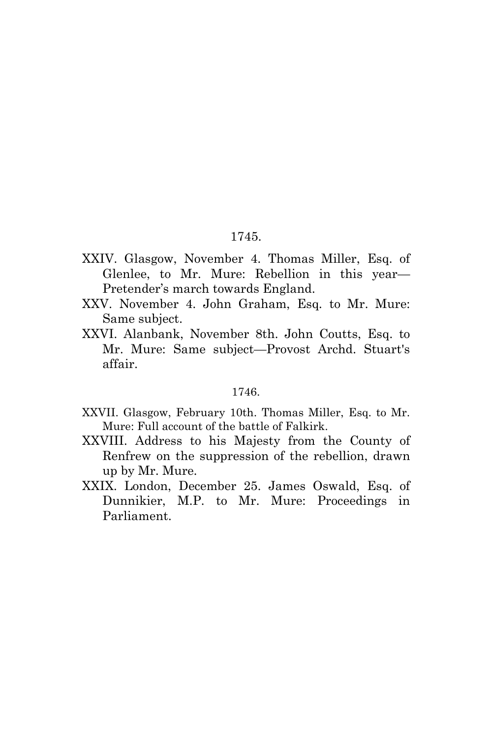## 1745.

- XXIV. Glasgow, November 4. Thomas Miller, Esq. of Glenlee, to Mr. Mure: Rebellion in this year— Pretender's march towards England.
- XXV. November 4. John Graham, Esq. to Mr. Mure: Same subject.
- XXVI. Alanbank, November 8th. John Coutts, Esq. to Mr. Mure: Same subject—Provost Archd. Stuart's affair.

#### 1746.

- XXVII. Glasgow, February 10th. Thomas Miller, Esq. to Mr. Mure: Full account of the battle of Falkirk.
- XXVIII. Address to his Majesty from the County of Renfrew on the suppression of the rebellion, drawn up by Mr. Mure.
- XXIX. London, December 25. James Oswald, Esq. of Dunnikier, M.P. to Mr. Mure: Proceedings in Parliament.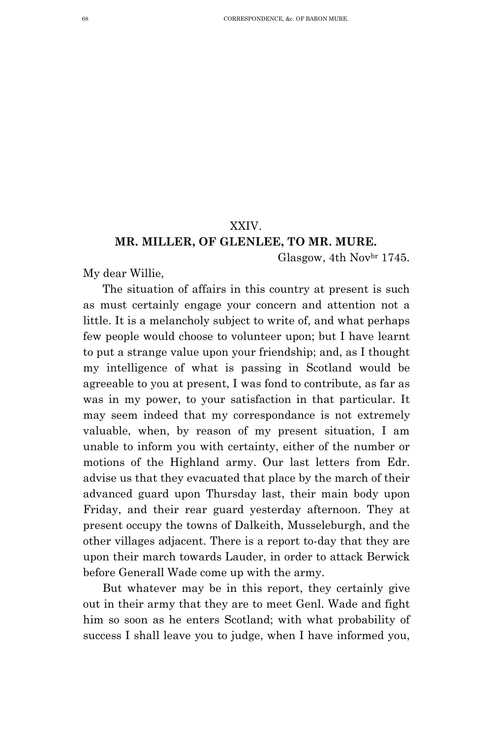## XXIV.

## **MR. MILLER, OF GLENLEE, TO MR. MURE.**

Glasgow, 4th Novbr 1745.

My dear Willie,

The situation of affairs in this country at present is such as must certainly engage your concern and attention not a little. It is a melancholy subject to write of, and what perhaps few people would choose to volunteer upon; but I have learnt to put a strange value upon your friendship; and, as I thought my intelligence of what is passing in Scotland would be agreeable to you at present, I was fond to contribute, as far as was in my power, to your satisfaction in that particular. It may seem indeed that my correspondance is not extremely valuable, when, by reason of my present situation, I am unable to inform you with certainty, either of the number or motions of the Highland army. Our last letters from Edr. advise us that they evacuated that place by the march of their advanced guard upon Thursday last, their main body upon Friday, and their rear guard yesterday afternoon. They at present occupy the towns of Dalkeith, Musseleburgh, and the other villages adjacent. There is a report to-day that they are upon their march towards Lauder, in order to attack Berwick before Generall Wade come up with the army.

But whatever may be in this report, they certainly give out in their army that they are to meet Genl. Wade and fight him so soon as he enters Scotland; with what probability of success I shall leave you to judge, when I have informed you,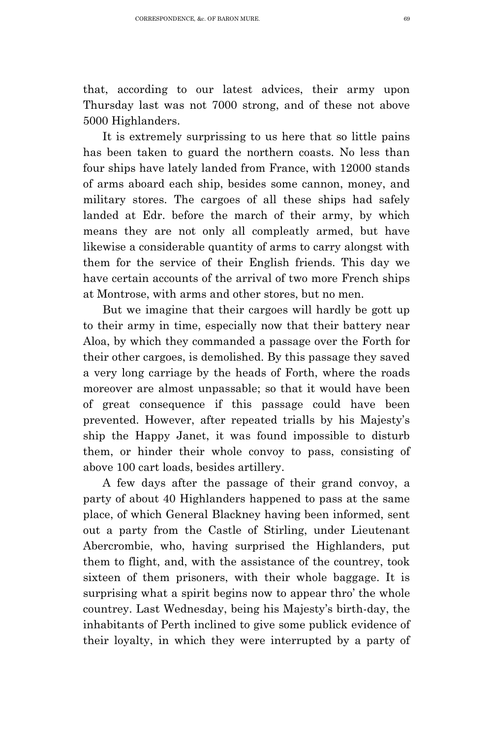that, according to our latest advices, their army upon Thursday last was not 7000 strong, and of these not above 5000 Highlanders.

It is extremely surprissing to us here that so little pains has been taken to guard the northern coasts. No less than four ships have lately landed from France, with 12000 stands of arms aboard each ship, besides some cannon, money, and military stores. The cargoes of all these ships had safely landed at Edr. before the march of their army, by which means they are not only all compleatly armed, but have likewise a considerable quantity of arms to carry alongst with them for the service of their English friends. This day we have certain accounts of the arrival of two more French ships at Montrose, with arms and other stores, but no men.

But we imagine that their cargoes will hardly be gott up to their army in time, especially now that their battery near Aloa, by which they commanded a passage over the Forth for their other cargoes, is demolished. By this passage they saved a very long carriage by the heads of Forth, where the roads moreover are almost unpassable; so that it would have been of great consequence if this passage could have been prevented. However, after repeated trialls by his Majesty's ship the Happy Janet, it was found impossible to disturb them, or hinder their whole convoy to pass, consisting of above 100 cart loads, besides artillery.

A few days after the passage of their grand convoy, a party of about 40 Highlanders happened to pass at the same place, of which General Blackney having been informed, sent out a party from the Castle of Stirling, under Lieutenant Abercrombie, who, having surprised the Highlanders, put them to flight, and, with the assistance of the countrey, took sixteen of them prisoners, with their whole baggage. It is surprising what a spirit begins now to appear thro' the whole countrey. Last Wednesday, being his Majesty's birth-day, the inhabitants of Perth inclined to give some publick evidence of their loyalty, in which they were interrupted by a party of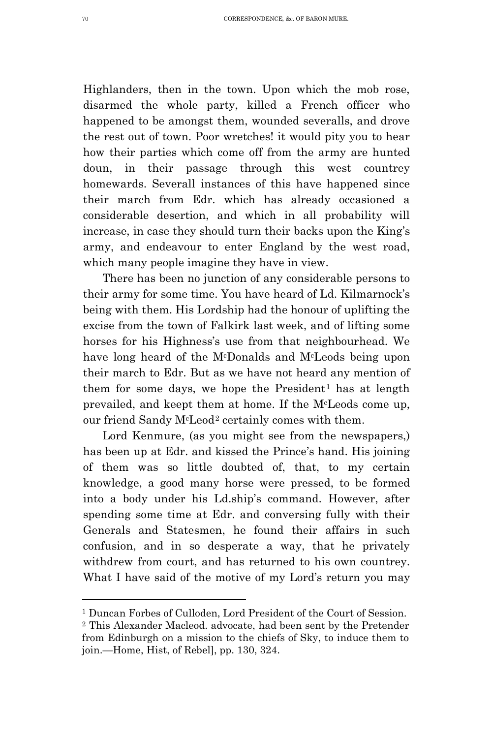Highlanders, then in the town. Upon which the mob rose, disarmed the whole party, killed a French officer who happened to be amongst them, wounded severalls, and drove the rest out of town. Poor wretches! it would pity you to hear how their parties which come off from the army are hunted doun, in their passage through this west countrey homewards. Severall instances of this have happened since their march from Edr. which has already occasioned a considerable desertion, and which in all probability will increase, in case they should turn their backs upon the King's army, and endeavour to enter England by the west road, which many people imagine they have in view.

There has been no junction of any considerable persons to their army for some time. You have heard of Ld. Kilmarnock's being with them. His Lordship had the honour of uplifting the excise from the town of Falkirk last week, and of lifting some horses for his Highness's use from that neighbourhead. We have long heard of the McDonalds and McLeods being upon their march to Edr. But as we have not heard any mention of them for some days, we hope the President<sup>[1](#page-5-0)</sup> has at length prevailed, and keept them at home. If the McLeods come up, our friend Sandy McLeod[2](#page-5-1) certainly comes with them.

Lord Kenmure, (as you might see from the newspapers,) has been up at Edr. and kissed the Prince's hand. His joining of them was so little doubted of, that, to my certain knowledge, a good many horse were pressed, to be formed into a body under his Ld.ship's command. However, after spending some time at Edr. and conversing fully with their Generals and Statesmen, he found their affairs in such confusion, and in so desperate a way, that he privately withdrew from court, and has returned to his own countrey. What I have said of the motive of my Lord's return you may

Ĩ. <sup>1</sup> Duncan Forbes of Culloden, Lord President of the Court of Session.

<span id="page-5-1"></span><span id="page-5-0"></span><sup>2</sup> This Alexander Macleod. advocate, had been sent by the Pretender from Edinburgh on a mission to the chiefs of Sky, to induce them to join.—Home, Hist, of Rebel], pp. 130, 324.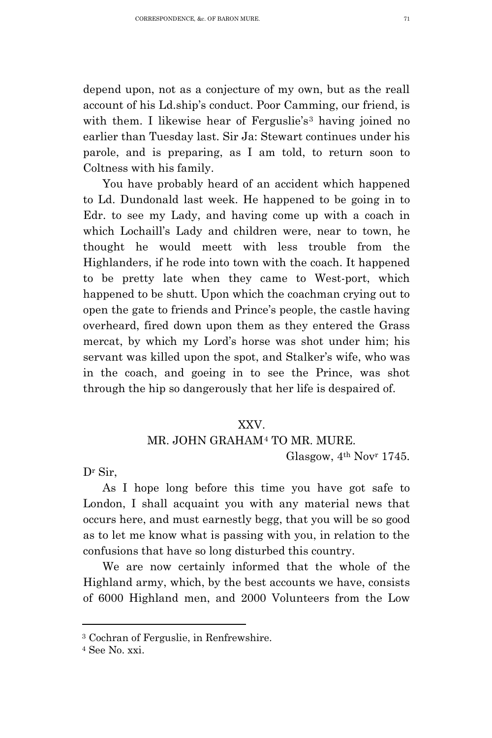depend upon, not as a conjecture of my own, but as the reall account of his Ld.ship's conduct. Poor Camming, our friend, is with them. I likewise hear of Ferguslie's<sup>[3](#page-6-0)</sup> having joined no earlier than Tuesday last. Sir Ja: Stewart continues under his parole, and is preparing, as I am told, to return soon to Coltness with his family.

You have probably heard of an accident which happened to Ld. Dundonald last week. He happened to be going in to Edr. to see my Lady, and having come up with a coach in which Lochaill's Lady and children were, near to town, he thought he would meett with less trouble from the Highlanders, if he rode into town with the coach. It happened to be pretty late when they came to West-port, which happened to be shutt. Upon which the coachman crying out to open the gate to friends and Prince's people, the castle having overheard, fired down upon them as they entered the Grass mercat, by which my Lord's horse was shot under him; his servant was killed upon the spot, and Stalker's wife, who was in the coach, and goeing in to see the Prince, was shot through the hip so dangerously that her life is despaired of.

### XXV.

## MR. JOHN GRAHAM[4](#page-6-1) TO MR. MURE.

Glasgow, 4th Novr 1745.

Dr Sir,

As I hope long before this time you have got safe to London, I shall acquaint you with any material news that occurs here, and must earnestly begg, that you will be so good as to let me know what is passing with you, in relation to the confusions that have so long disturbed this country.

We are now certainly informed that the whole of the Highland army, which, by the best accounts we have, consists of 6000 Highland men, and 2000 Volunteers from the Low

Ĩ.

<span id="page-6-0"></span><sup>3</sup> Cochran of Ferguslie, in Renfrewshire.

<span id="page-6-1"></span> $4$  See No.  $xxi$ .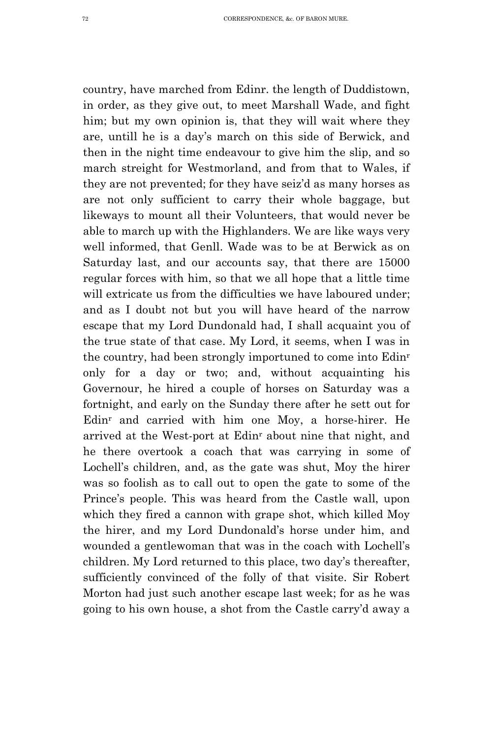country, have marched from Edinr. the length of Duddistown, in order, as they give out, to meet Marshall Wade, and fight him; but my own opinion is, that they will wait where they are, untill he is a day's march on this side of Berwick, and then in the night time endeavour to give him the slip, and so march streight for Westmorland, and from that to Wales, if they are not prevented; for they have seiz'd as many horses as are not only sufficient to carry their whole baggage, but likeways to mount all their Volunteers, that would never be able to march up with the Highlanders. We are like ways very well informed, that Genll. Wade was to be at Berwick as on Saturday last, and our accounts say, that there are 15000 regular forces with him, so that we all hope that a little time will extricate us from the difficulties we have laboured under: and as I doubt not but you will have heard of the narrow escape that my Lord Dundonald had, I shall acquaint you of the true state of that case. My Lord, it seems, when I was in the country, had been strongly importuned to come into Edinr only for a day or two; and, without acquainting his Governour, he hired a couple of horses on Saturday was a fortnight, and early on the Sunday there after he sett out for Edinr and carried with him one Moy, a horse-hirer. He arrived at the West-port at Edinr about nine that night, and he there overtook a coach that was carrying in some of Lochell's children, and, as the gate was shut, Moy the hirer was so foolish as to call out to open the gate to some of the Prince's people. This was heard from the Castle wall, upon which they fired a cannon with grape shot, which killed Moy the hirer, and my Lord Dundonald's horse under him, and wounded a gentlewoman that was in the coach with Lochell's children. My Lord returned to this place, two day's thereafter, sufficiently convinced of the folly of that visite. Sir Robert Morton had just such another escape last week; for as he was going to his own house, a shot from the Castle carry'd away a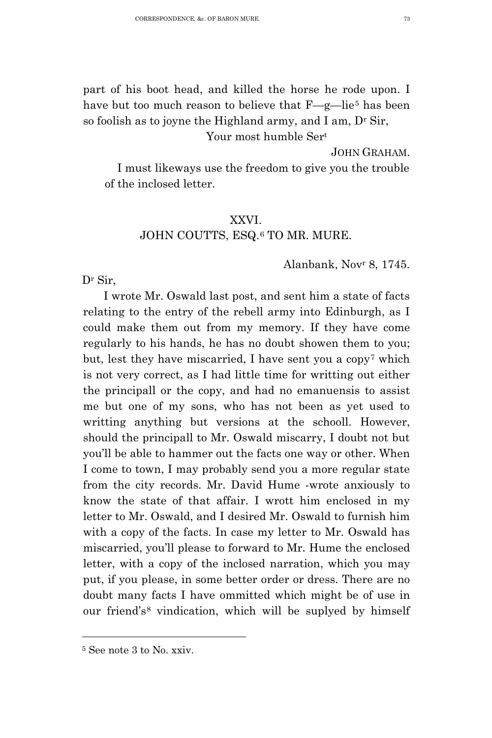part of his boot head, and killed the horse he rode upon. I have but too much reason to believe that F—g—lie<sup>[5](#page-8-0)</sup> has been so foolish as to joyne the Highland army, and I am,  $D<sup>r</sup>$  Sir,

Your most humble Sert

JOHN GRAHAM.

I must likeways use the freedom to give you the trouble of the inclosed letter.

### XXVI.

## JOHN COUTTS, ESQ.[6](#page-8-1) TO MR. MURE.

Alanbank, Novr 8, 1745.

Dr Sir,

I wrote Mr. Oswald last post, and sent him a state of facts relating to the entry of the rebell army into Edinburgh, as I could make them out from my memory. If they have come regularly to his hands, he has no doubt showen them to you; but, lest they have miscarried, I have sent you a copy[7](#page-8-2) which is not very correct, as I had little time for writting out either the principall or the copy, and had no emanuensis to assist me but one of my sons, who has not been as yet used to writting anything but versions at the schooll. However, should the principall to Mr. Oswald miscarry, I doubt not but you'll be able to hammer out the facts one way or other. When I come to town, I may probably send you a more regular state from the city records. Mr. David Hume -wrote anxiously to know the state of that affair. I wrott him enclosed in my letter to Mr. Oswald, and I desired Mr. Oswald to furnish him with a copy of the facts. In case my letter to Mr. Oswald has miscarried, you'll please to forward to Mr. Hume the enclosed letter, with a copy of the inclosed narration, which you may put, if you please, in some better order or dress. There are no doubt many facts I have ommitted which might be of use in our friend's[8](#page-8-3) vindication, which will be suplyed by himself

<span id="page-8-3"></span><span id="page-8-2"></span><span id="page-8-1"></span><span id="page-8-0"></span>Ĩ. <sup>5</sup> See note 3 to No. xxiv.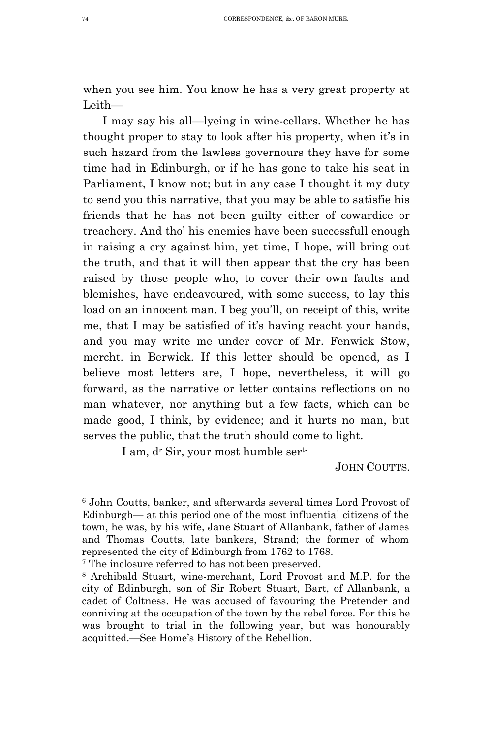when you see him. You know he has a very great property at Leith—

I may say his all—lyeing in wine-cellars. Whether he has thought proper to stay to look after his property, when it's in such hazard from the lawless governours they have for some time had in Edinburgh, or if he has gone to take his seat in Parliament, I know not; but in any case I thought it my duty to send you this narrative, that you may be able to satisfie his friends that he has not been guilty either of cowardice or treachery. And tho' his enemies have been successfull enough in raising a cry against him, yet time, I hope, will bring out the truth, and that it will then appear that the cry has been raised by those people who, to cover their own faults and blemishes, have endeavoured, with some success, to lay this load on an innocent man. I beg you'll, on receipt of this, write me, that I may be satisfied of it's having reacht your hands, and you may write me under cover of Mr. Fenwick Stow, mercht. in Berwick. If this letter should be opened, as I believe most letters are, I hope, nevertheless, it will go forward, as the narrative or letter contains reflections on no man whatever, nor anything but a few facts, which can be made good, I think, by evidence; and it hurts no man, but serves the public, that the truth should come to light.

I am, dr Sir, your most humble sert-

JOHN COUTTS.

Ĩ. <sup>6</sup> John Coutts, banker, and afterwards several times Lord Provost of Edinburgh— at this period one of the most influential citizens of the town, he was, by his wife, Jane Stuart of Allanbank, father of James and Thomas Coutts, late bankers, Strand; the former of whom represented the city of Edinburgh from 1762 to 1768.

<sup>7</sup> The inclosure referred to has not been preserved.

<sup>8</sup> Archibald Stuart, wine-merchant, Lord Provost and M.P. for the city of Edinburgh, son of Sir Robert Stuart, Bart, of Allanbank, a cadet of Coltness. He was accused of favouring the Pretender and conniving at the occupation of the town by the rebel force. For this he was brought to trial in the following year, but was honourably acquitted.—See Home's History of the Rebellion.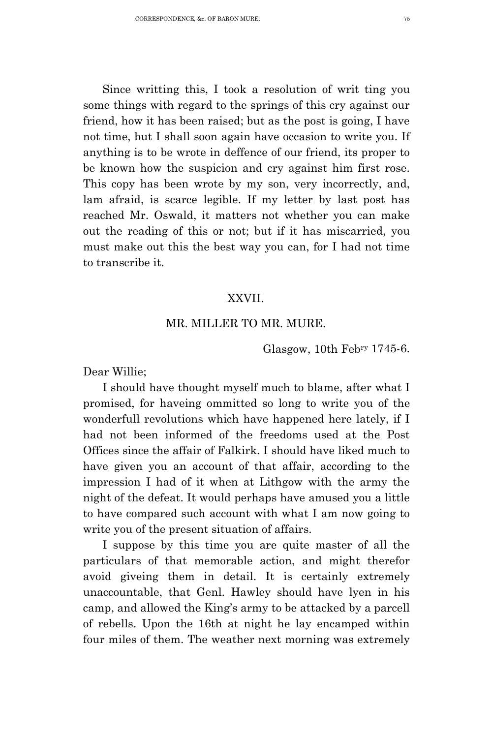Since writting this, I took a resolution of writ ting you some things with regard to the springs of this cry against our friend, how it has been raised; but as the post is going, I have not time, but I shall soon again have occasion to write you. If anything is to be wrote in deffence of our friend, its proper to be known how the suspicion and cry against him first rose. This copy has been wrote by my son, very incorrectly, and, lam afraid, is scarce legible. If my letter by last post has reached Mr. Oswald, it matters not whether you can make out the reading of this or not; but if it has miscarried, you must make out this the best way you can, for I had not time to transcribe it.

### XXVII.

## MR. MILLER TO MR. MURE.

Glasgow, 10th Febry 1745-6.

Dear Willie;

I should have thought myself much to blame, after what I promised, for haveing ommitted so long to write you of the wonderfull revolutions which have happened here lately, if I had not been informed of the freedoms used at the Post Offices since the affair of Falkirk. I should have liked much to have given you an account of that affair, according to the impression I had of it when at Lithgow with the army the night of the defeat. It would perhaps have amused you a little to have compared such account with what I am now going to write you of the present situation of affairs.

I suppose by this time you are quite master of all the particulars of that memorable action, and might therefor avoid giveing them in detail. It is certainly extremely unaccountable, that Genl. Hawley should have lyen in his camp, and allowed the King's army to be attacked by a parcell of rebells. Upon the 16th at night he lay encamped within four miles of them. The weather next morning was extremely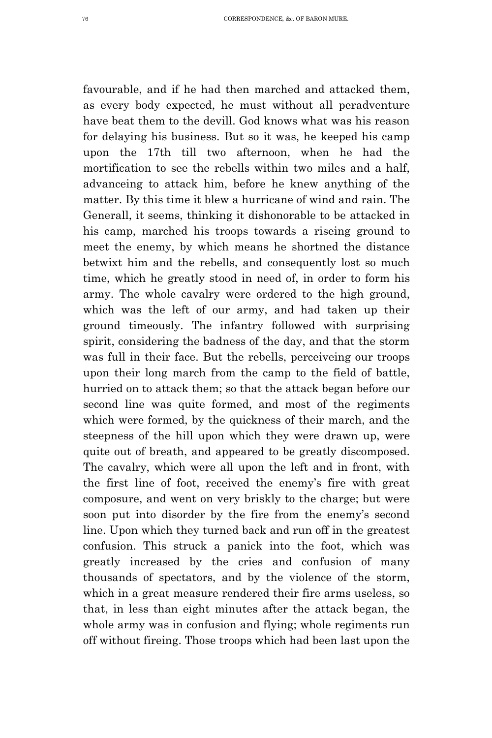favourable, and if he had then marched and attacked them, as every body expected, he must without all peradventure have beat them to the devill. God knows what was his reason for delaying his business. But so it was, he keeped his camp upon the 17th till two afternoon, when he had the mortification to see the rebells within two miles and a half, advanceing to attack him, before he knew anything of the matter. By this time it blew a hurricane of wind and rain. The Generall, it seems, thinking it dishonorable to be attacked in his camp, marched his troops towards a riseing ground to meet the enemy, by which means he shortned the distance betwixt him and the rebells, and consequently lost so much time, which he greatly stood in need of, in order to form his army. The whole cavalry were ordered to the high ground, which was the left of our army, and had taken up their ground timeously. The infantry followed with surprising spirit, considering the badness of the day, and that the storm was full in their face. But the rebells, perceiveing our troops upon their long march from the camp to the field of battle, hurried on to attack them; so that the attack began before our second line was quite formed, and most of the regiments which were formed, by the quickness of their march, and the steepness of the hill upon which they were drawn up, were quite out of breath, and appeared to be greatly discomposed. The cavalry, which were all upon the left and in front, with the first line of foot, received the enemy's fire with great composure, and went on very briskly to the charge; but were soon put into disorder by the fire from the enemy's second line. Upon which they turned back and run off in the greatest confusion. This struck a panick into the foot, which was greatly increased by the cries and confusion of many thousands of spectators, and by the violence of the storm, which in a great measure rendered their fire arms useless, so that, in less than eight minutes after the attack began, the whole army was in confusion and flying; whole regiments run off without fireing. Those troops which had been last upon the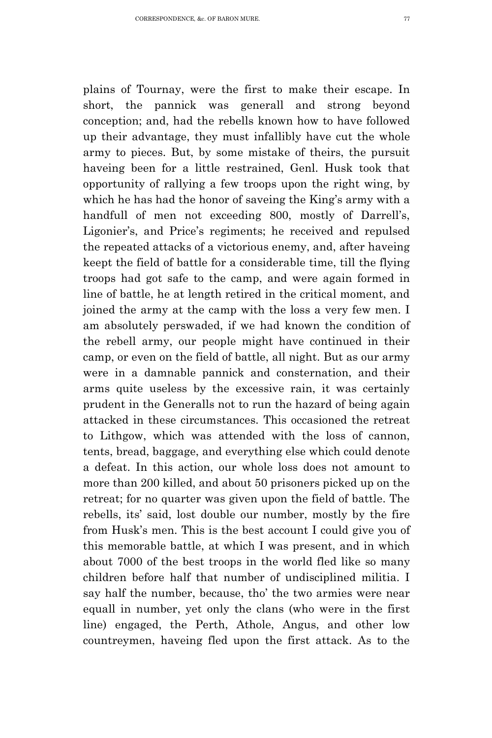plains of Tournay, were the first to make their escape. In short, the pannick was generall and strong beyond conception; and, had the rebells known how to have followed up their advantage, they must infallibly have cut the whole army to pieces. But, by some mistake of theirs, the pursuit haveing been for a little restrained, Genl. Husk took that opportunity of rallying a few troops upon the right wing, by which he has had the honor of saveing the King's army with a handfull of men not exceeding 800, mostly of Darrell's, Ligonier's, and Price's regiments; he received and repulsed the repeated attacks of a victorious enemy, and, after haveing keept the field of battle for a considerable time, till the flying troops had got safe to the camp, and were again formed in line of battle, he at length retired in the critical moment, and joined the army at the camp with the loss a very few men. I am absolutely perswaded, if we had known the condition of the rebell army, our people might have continued in their camp, or even on the field of battle, all night. But as our army were in a damnable pannick and consternation, and their arms quite useless by the excessive rain, it was certainly prudent in the Generalls not to run the hazard of being again attacked in these circumstances. This occasioned the retreat to Lithgow, which was attended with the loss of cannon, tents, bread, baggage, and everything else which could denote a defeat. In this action, our whole loss does not amount to more than 200 killed, and about 50 prisoners picked up on the retreat; for no quarter was given upon the field of battle. The rebells, its' said, lost double our number, mostly by the fire from Husk's men. This is the best account I could give you of this memorable battle, at which I was present, and in which about 7000 of the best troops in the world fled like so many children before half that number of undisciplined militia. I say half the number, because, tho' the two armies were near equall in number, yet only the clans (who were in the first line) engaged, the Perth, Athole, Angus, and other low countreymen, haveing fled upon the first attack. As to the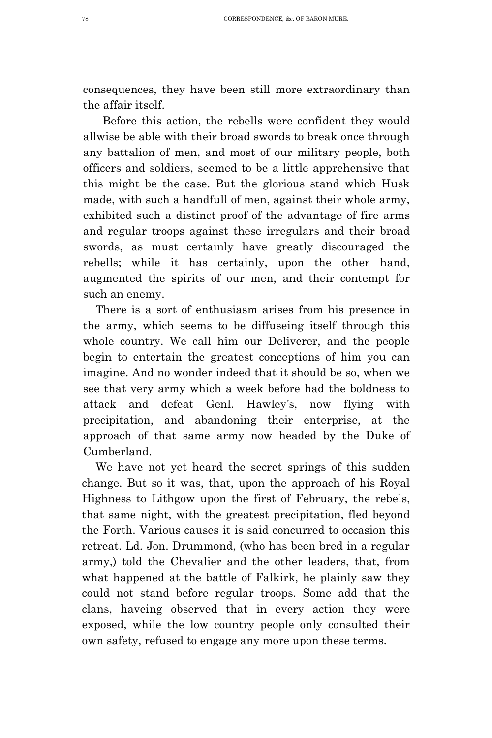consequences, they have been still more extraordinary than the affair itself.

Before this action, the rebells were confident they would allwise be able with their broad swords to break once through any battalion of men, and most of our military people, both officers and soldiers, seemed to be a little apprehensive that this might be the case. But the glorious stand which Husk made, with such a handfull of men, against their whole army, exhibited such a distinct proof of the advantage of fire arms and regular troops against these irregulars and their broad swords, as must certainly have greatly discouraged the rebells; while it has certainly, upon the other hand, augmented the spirits of our men, and their contempt for such an enemy.

There is a sort of enthusiasm arises from his presence in the army, which seems to be diffuseing itself through this whole country. We call him our Deliverer, and the people begin to entertain the greatest conceptions of him you can imagine. And no wonder indeed that it should be so, when we see that very army which a week before had the boldness to attack and defeat Genl. Hawley's, now flying with precipitation, and abandoning their enterprise, at the approach of that same army now headed by the Duke of Cumberland.

We have not yet heard the secret springs of this sudden change. But so it was, that, upon the approach of his Royal Highness to Lithgow upon the first of February, the rebels, that same night, with the greatest precipitation, fled beyond the Forth. Various causes it is said concurred to occasion this retreat. Ld. Jon. Drummond, (who has been bred in a regular army,) told the Chevalier and the other leaders, that, from what happened at the battle of Falkirk, he plainly saw they could not stand before regular troops. Some add that the clans, haveing observed that in every action they were exposed, while the low country people only consulted their own safety, refused to engage any more upon these terms.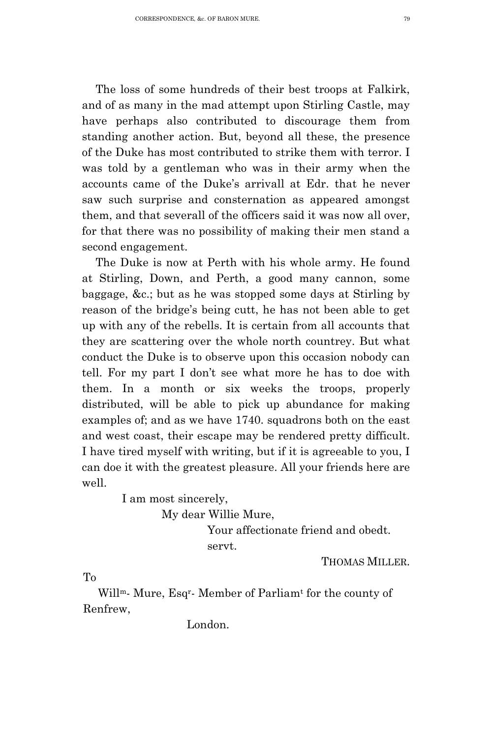The loss of some hundreds of their best troops at Falkirk, and of as many in the mad attempt upon Stirling Castle, may have perhaps also contributed to discourage them from standing another action. But, beyond all these, the presence of the Duke has most contributed to strike them with terror. I was told by a gentleman who was in their army when the accounts came of the Duke's arrivall at Edr. that he never saw such surprise and consternation as appeared amongst them, and that severall of the officers said it was now all over, for that there was no possibility of making their men stand a second engagement.

The Duke is now at Perth with his whole army. He found at Stirling, Down, and Perth, a good many cannon, some baggage, &c.; but as he was stopped some days at Stirling by reason of the bridge's being cutt, he has not been able to get up with any of the rebells. It is certain from all accounts that they are scattering over the whole north countrey. But what conduct the Duke is to observe upon this occasion nobody can tell. For my part I don't see what more he has to doe with them. In a month or six weeks the troops, properly distributed, will be able to pick up abundance for making examples of; and as we have 1740. squadrons both on the east and west coast, their escape may be rendered pretty difficult. I have tired myself with writing, but if it is agreeable to you, I can doe it with the greatest pleasure. All your friends here are well.

I am most sincerely,

My dear Willie Mure,

Your affectionate friend and obedt. servt.

THOMAS MILLER.

To

Willm- Mure, Esqr- Member of Parliamt for the county of Renfrew,

London.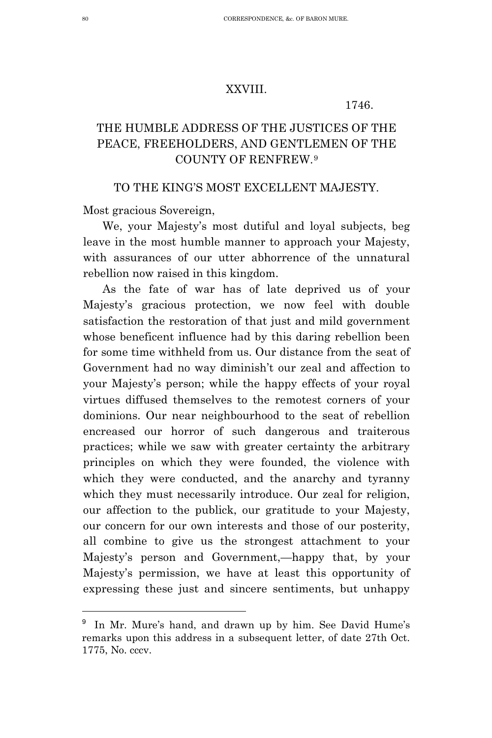## XXVIII.

#### 1746.

## THE HUMBLE ADDRESS OF THE JUSTICES OF THE PEACE, FREEHOLDERS, AND GENTLEMEN OF THE COUNTY OF RENFREW.[9](#page-15-0)

## TO THE KING'S MOST EXCELLENT MAJESTY.

Most gracious Sovereign,

We, your Majesty's most dutiful and loyal subjects, beg leave in the most humble manner to approach your Majesty, with assurances of our utter abhorrence of the unnatural rebellion now raised in this kingdom.

As the fate of war has of late deprived us of your Majesty's gracious protection, we now feel with double satisfaction the restoration of that just and mild government whose beneficent influence had by this daring rebellion been for some time withheld from us. Our distance from the seat of Government had no way diminish't our zeal and affection to your Majesty's person; while the happy effects of your royal virtues diffused themselves to the remotest corners of your dominions. Our near neighbourhood to the seat of rebellion encreased our horror of such dangerous and traiterous practices; while we saw with greater certainty the arbitrary principles on which they were founded, the violence with which they were conducted, and the anarchy and tyranny which they must necessarily introduce. Our zeal for religion, our affection to the publick, our gratitude to your Majesty, our concern for our own interests and those of our posterity, all combine to give us the strongest attachment to your Majesty's person and Government,—happy that, by your Majesty's permission, we have at least this opportunity of expressing these just and sincere sentiments, but unhappy

Ĩ.

<span id="page-15-0"></span>In Mr. Mure's hand, and drawn up by him. See David Hume's remarks upon this address in a subsequent letter, of date 27th Oct. 1775, No. cccv.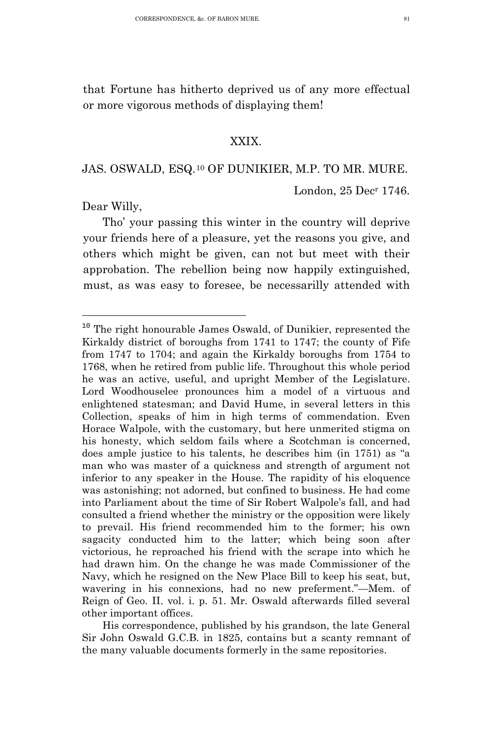that Fortune has hitherto deprived us of any more effectual or more vigorous methods of displaying them!

## XXIX.

## JAS. OSWALD, ESQ.[10](#page-16-0) OF DUNIKIER, M.P. TO MR. MURE.

London, 25 Decr 1746.

Dear Willy,

Tho' your passing this winter in the country will deprive your friends here of a pleasure, yet the reasons you give, and others which might be given, can not but meet with their approbation. The rebellion being now happily extinguished, must, as was easy to foresee, be necessarilly attended with

<span id="page-16-0"></span> <sup>10</sup> The right honourable James Oswald, of Dunikier, represented the Kirkaldy district of boroughs from 1741 to 1747; the county of Fife from 1747 to 1704; and again the Kirkaldy boroughs from 1754 to 1768, when he retired from public life. Throughout this whole period he was an active, useful, and upright Member of the Legislature. Lord Woodhouselee pronounces him a model of a virtuous and enlightened statesman; and David Hume, in several letters in this Collection, speaks of him in high terms of commendation. Even Horace Walpole, with the customary, but here unmerited stigma on his honesty, which seldom fails where a Scotchman is concerned, does ample justice to his talents, he describes him (in 1751) as "a man who was master of a quickness and strength of argument not inferior to any speaker in the House. The rapidity of his eloquence was astonishing; not adorned, but confined to business. He had come into Parliament about the time of Sir Robert Walpole's fall, and had consulted a friend whether the ministry or the opposition were likely to prevail. His friend recommended him to the former; his own sagacity conducted him to the latter; which being soon after victorious, he reproached his friend with the scrape into which he had drawn him. On the change he was made Commissioner of the Navy, which he resigned on the New Place Bill to keep his seat, but, wavering in his connexions, had no new preferment."—Mem. of Reign of Geo. II. vol. i. p. 51. Mr. Oswald afterwards filled several other important offices.

His correspondence, published by his grandson, the late General Sir John Oswald G.C.B. in 1825, contains but a scanty remnant of the many valuable documents formerly in the same repositories.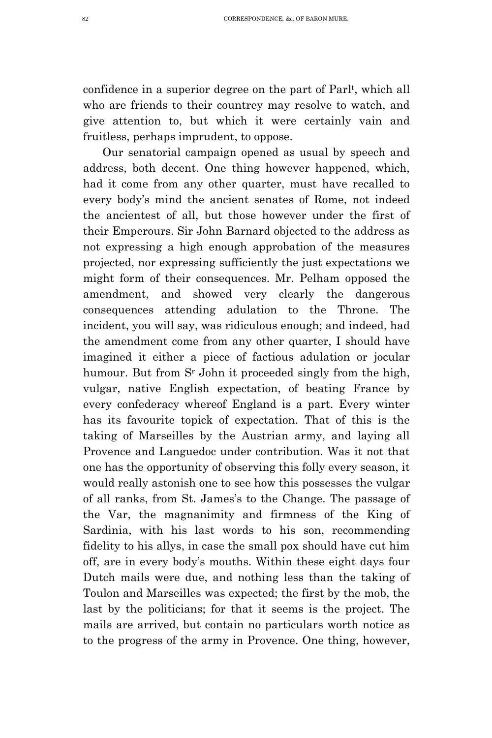confidence in a superior degree on the part of Parlt, which all who are friends to their countrey may resolve to watch, and give attention to, but which it were certainly vain and fruitless, perhaps imprudent, to oppose.

Our senatorial campaign opened as usual by speech and address, both decent. One thing however happened, which, had it come from any other quarter, must have recalled to every body's mind the ancient senates of Rome, not indeed the ancientest of all, but those however under the first of their Emperours. Sir John Barnard objected to the address as not expressing a high enough approbation of the measures projected, nor expressing sufficiently the just expectations we might form of their consequences. Mr. Pelham opposed the amendment, and showed very clearly the dangerous consequences attending adulation to the Throne. The incident, you will say, was ridiculous enough; and indeed, had the amendment come from any other quarter, I should have imagined it either a piece of factious adulation or jocular humour. But from S<sup>r</sup> John it proceeded singly from the high, vulgar, native English expectation, of beating France by every confederacy whereof England is a part. Every winter has its favourite topick of expectation. That of this is the taking of Marseilles by the Austrian army, and laying all Provence and Languedoc under contribution. Was it not that one has the opportunity of observing this folly every season, it would really astonish one to see how this possesses the vulgar of all ranks, from St. James's to the Change. The passage of the Var, the magnanimity and firmness of the King of Sardinia, with his last words to his son, recommending fidelity to his allys, in case the small pox should have cut him off, are in every body's mouths. Within these eight days four Dutch mails were due, and nothing less than the taking of Toulon and Marseilles was expected; the first by the mob, the last by the politicians; for that it seems is the project. The mails are arrived, but contain no particulars worth notice as to the progress of the army in Provence. One thing, however,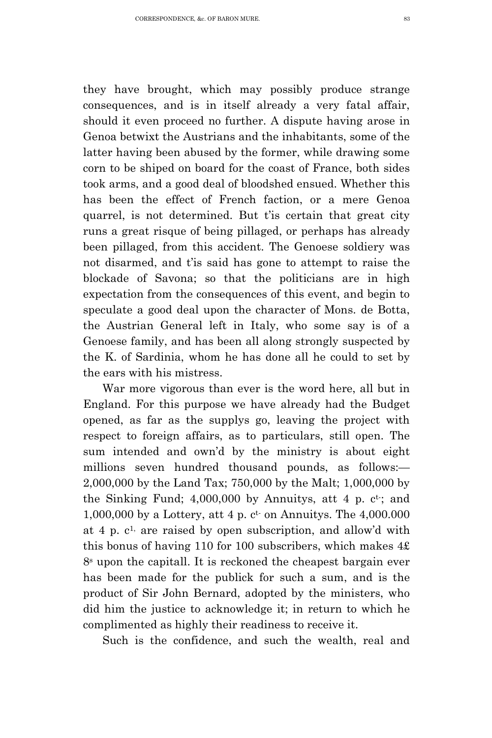they have brought, which may possibly produce strange consequences, and is in itself already a very fatal affair, should it even proceed no further. A dispute having arose in Genoa betwixt the Austrians and the inhabitants, some of the latter having been abused by the former, while drawing some corn to be shiped on board for the coast of France, both sides took arms, and a good deal of bloodshed ensued. Whether this has been the effect of French faction, or a mere Genoa quarrel, is not determined. But t'is certain that great city runs a great risque of being pillaged, or perhaps has already been pillaged, from this accident. The Genoese soldiery was not disarmed, and t'is said has gone to attempt to raise the blockade of Savona; so that the politicians are in high expectation from the consequences of this event, and begin to speculate a good deal upon the character of Mons. de Botta, the Austrian General left in Italy, who some say is of a Genoese family, and has been all along strongly suspected by the K. of Sardinia, whom he has done all he could to set by the ears with his mistress.

War more vigorous than ever is the word here, all but in England. For this purpose we have already had the Budget opened, as far as the supplys go, leaving the project with respect to foreign affairs, as to particulars, still open. The sum intended and own'd by the ministry is about eight millions seven hundred thousand pounds, as follows:— 2,000,000 by the Land Tax; 750,000 by the Malt; 1,000,000 by the Sinking Fund;  $4,000,000$  by Annuitys, att 4 p.  $c^t$ ; and  $1,000,000$  by a Lottery, att 4 p.  $c^t$  on Annuitys. The  $4,000,000$ at 4 p.  $c<sup>1</sup>$ , are raised by open subscription, and allow'd with this bonus of having 110 for 100 subscribers, which makes 4£ 8s upon the capitall. It is reckoned the cheapest bargain ever has been made for the publick for such a sum, and is the product of Sir John Bernard, adopted by the ministers, who did him the justice to acknowledge it; in return to which he complimented as highly their readiness to receive it.

Such is the confidence, and such the wealth, real and